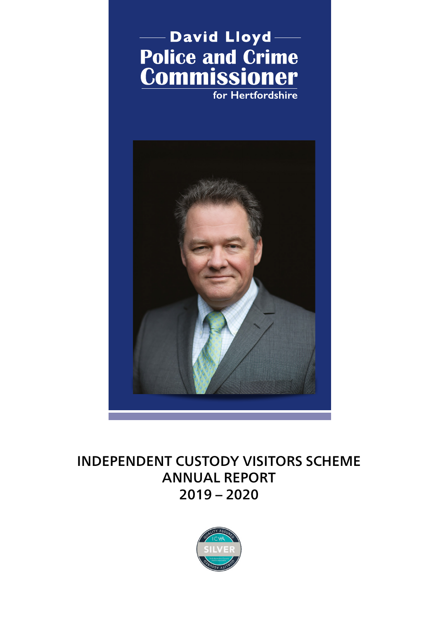

# INDEPENDENT CUSTODY VISITORS SCHEME ANNUAL REPORT 2019 – 2020

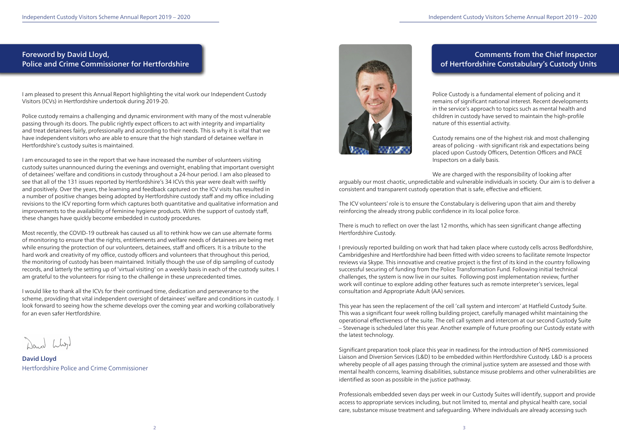# Foreword by David Lloyd, Police and Crime Commissioner for Hertfordshire

I am pleased to present this Annual Report highlighting the vital work our Independent Custody Visitors (ICVs) in Hertfordshire undertook during 2019-20.

Police custody remains a challenging and dynamic environment with many of the most vulnerable passing through its doors. The public rightly expect officers to act with integrity and impartiality and treat detainees fairly, professionally and according to their needs. This is why it is vital that we have independent visitors who are able to ensure that the high standard of detainee welfare in Hertfordshire's custody suites is maintained.

I am encouraged to see in the report that we have increased the number of volunteers visiting custody suites unannounced during the evenings and overnight, enabling that important oversight of detainees' welfare and conditions in custody throughout a 24-hour period. I am also pleased to see that all of the 131 issues reported by Hertfordshire's 34 ICVs this year were dealt with swiftly and positively. Over the years, the learning and feedback captured on the ICV visits has resulted in a number of positive changes being adopted by Hertfordshire custody staff and my office including revisions to the ICV reporting form which captures both quantitative and qualitative information and improvements to the availability of feminine hygiene products. With the support of custody staff, these changes have quickly become embedded in custody procedures.

Most recently, the COVID-19 outbreak has caused us all to rethink how we can use alternate forms of monitoring to ensure that the rights, entitlements and welfare needs of detainees are being met while ensuring the protection of our volunteers, detainees, staff and officers. It is a tribute to the hard work and creativity of my office, custody officers and volunteers that throughout this period, the monitoring of custody has been maintained. Initially though the use of dip sampling of custody records, and latterly the setting up of 'virtual visiting' on a weekly basis in each of the custody suites. I am grateful to the volunteers for rising to the challenge in these unprecedented times.

I would like to thank all the ICVs for their continued time, dedication and perseverance to the scheme, providing that vital independent oversight of detainees' welfare and conditions in custody. I look forward to seeing how the scheme develops over the coming year and working collaboratively for an even safer Hertfordshire.

David Lloyd Hertfordshire Police and Crime Commissioner



# Comments from the Chief Inspector of Hertfordshire Constabulary's Custody Units

Police Custody is a fundamental element of policing and it remains of significant national interest. Recent developments in the service's approach to topics such as mental health and children in custody have served to maintain the high-profile nature of this essential activity.

Custody remains one of the highest risk and most challenging areas of policing - with significant risk and expectations being placed upon Custody Officers, Detention Officers and PACE Inspectors on a daily basis.

We are charged with the responsibility of looking after

arguably our most chaotic, unpredictable and vulnerable individuals in society. Our aim is to deliver a consistent and transparent custody operation that is safe, effective and efficient.

The ICV volunteers' role is to ensure the Constabulary is delivering upon that aim and thereby reinforcing the already strong public confidence in its local police force.

There is much to reflect on over the last 12 months, which has seen significant change affecting Hertfordshire Custody.

I previously reported building on work that had taken place where custody cells across Bedfordshire, Cambridgeshire and Hertfordshire had been fitted with video screens to facilitate remote Inspector reviews via Skype. This innovative and creative project is the first of its kind in the country following successful securing of funding from the Police Transformation Fund. Following initial technical challenges, the system is now live in our suites. Following post implementation review, further work will continue to explore adding other features such as remote interpreter's services, legal consultation and Appropriate Adult (AA) services.

This year has seen the replacement of the cell 'call system and intercom' at Hatfield Custody Suite. This was a significant four week rolling building project, carefully managed whilst maintaining the operational effectiveness of the suite. The cell call system and intercom at our second Custody Suite – Stevenage is scheduled later this year. Another example of future proofing our Custody estate with the latest technology.

Significant preparation took place this year in readiness for the introduction of NHS commissioned Liaison and Diversion Services (L&D) to be embedded within Hertfordshire Custody. L&D is a process whereby people of all ages passing through the criminal justice system are assessed and those with mental health concerns, learning disabilities, substance misuse problems and other vulnerabilities are identified as soon as possible in the justice pathway.

Professionals embedded seven days per week in our Custody Suites will identify, support and provide access to appropriate services including, but not limited to, mental and physical health care, social care, substance misuse treatment and safeguarding. Where individuals are already accessing such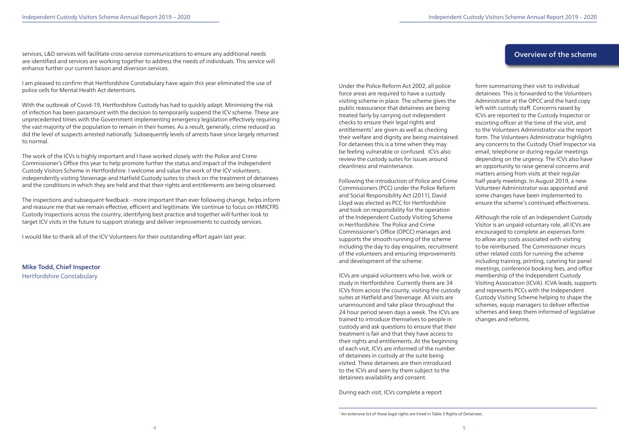services, L&D services will facilitate cross-service communications to ensure any additional needs are identified and services are working together to address the needs of individuals. This service will enhance further our current liaison and diversion services.

I am pleased to confirm that Hertfordshire Constabulary have again this year eliminated the use of police cells for Mental Health Act detentions.

With the outbreak of Covid-19, Hertfordshire Custody has had to quickly adapt. Minimising the risk of infection has been paramount with the decision to temporarily suspend the ICV scheme. These are unprecedented times with the Government implementing emergency legislation effectively requiring the vast majority of the population to remain in their homes. As a result, generally, crime reduced as did the level of suspects arrested nationally. Subsequently levels of arrests have since largely returned to normal.

The work of the ICVs is highly important and I have worked closely with the Police and Crime Commissioner's Office this year to help promote further the status and impact of the Independent Custody Visitors Scheme in Hertfordshire. I welcome and value the work of the ICV volunteers; independently visiting Stevenage and Hatfield Custody suites to check on the treatment of detainees and the conditions in which they are held and that their rights and entitlements are being observed.

The inspections and subsequent feedback - more important than ever following change, helps inform and reassure me that we remain effective, efficient and legitimate. We continue to focus on HMICFRS Custody Inspections across the country, identifying best practice and together will further look to target ICV visits in the future to support strategy and deliver improvements to custody services.

I would like to thank all of the ICV Volunteers for their outstanding effort again last year.

Mike Todd, Chief Inspector Hertfordshire Constabulary

Under the Police Reform Act 2002, all police force areas are required to have a custody visiting scheme in place. The scheme gives the public reassurance that detainees are being treated fairly by carrying out independent checks to ensure their legal rights and entitlements<sup>1</sup> are given as well as checking their welfare and dignity are being maintained. For detainees this is a time when they may be feeling vulnerable or confused. ICVs also review the custody suites for issues around cleanliness and maintenance.

Following the introduction of Police and Crime Commissioners (PCC) under the Police Reform and Social Responsibility Act (2011), David Lloyd was elected as PCC for Hertfordshire and took on responsibility for the operation of the Independent Custody Visiting Scheme in Hertfordshire. The Police and Crime Commissioner's Office (OPCC) manages and supports the smooth running of the scheme including the day to day enquiries, recruitment of the volunteers and ensuring improvements and development of the scheme.

ICVs are unpaid volunteers who live, work or study in Hertfordshire. Currently there are 34 ICVs from across the county, visiting the custody suites at Hatfield and Stevenage. All visits are unannounced and take place throughout the 24 hour period seven days a week. The ICVs are trained to introduce themselves to people in custody and ask questions to ensure that their treatment is fair and that they have access to their rights and entitlements. At the beginning of each visit, ICVs are informed of the number of detainees in custody at the suite being visited. These detainees are then introduced to the ICVs and seen by them subject to the detainees availability and consent.

During each visit, ICVs complete a report

form summarising their visit to individual detainees. This is forwarded to the Volunteers Administrator at the OPCC and the hard copy left with custody staff. Concerns raised by ICVs are reported to the Custody Inspector or escorting officer at the time of the visit, and to the Volunteers Administrator via the report form. The Volunteers Administrator highlights any concerns to the Custody Chief Inspector via email, telephone or during regular meetings depending on the urgency. The ICVs also have an opportunity to raise general concerns and matters arising from visits at their regular half yearly meetings. In August 2019, a new Volunteer Administrator was appointed and some changes have been implemented to ensure the scheme's continued effectiveness.

Although the role of an Independent Custody Visitor is an unpaid voluntary role, all ICVs are encouraged to complete an expenses form to allow any costs associated with visiting to be reimbursed. The Commissioner incurs other related costs for running the scheme including training, printing, catering for panel meetings, conference booking fees, and office membership of the Independent Custody Visiting Association (ICVA). ICVA leads, supports and represents PCCs with the Independent Custody Visiting Scheme helping to shape the schemes, equip managers to deliver effective schemes and keep them informed of legislative changes and reforms.

# Overview of the scheme

<sup>&</sup>lt;sup>1</sup> An extensive list of these legal rights are listed in Table 3 Rights of Detainees.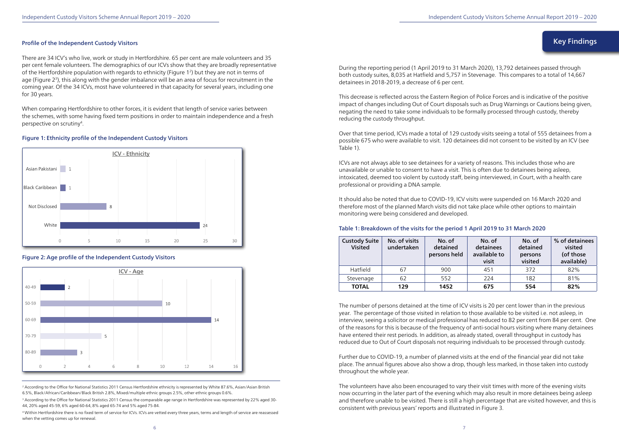#### Profile of the Independent Custody Visitors

There are 34 ICV's who live, work or study in Hertfordshire. 65 per cent are male volunteers and 35 per cent female volunteers. The demographics of our ICVs show that they are broadly representative of the Hertfordshire population with regards to ethnicity (Figure 12) but they are not in terms of age (Figure 23), this along with the gender imbalance will be an area of focus for recruitment in the coming year. Of the 34 ICVs, most have volunteered in that capacity for several years, including one for 30 years.

<sup>2</sup> According to the Office for National Statistics 2011 Census Hertfordshire ethnicity is represented by White 87.6%, Asian/Asian British 6.5%, Black/African/Caribbean/Black British 2.8%, Mixed/multiple ethnic groups 2.5%, other ethnic groups 0.6%.

<sup>3</sup> According to the Office for National Statistics 2011 Census the comparable age range in Hertfordshire was represented by 22% aged 30-44, 20% aged 45-59, 6% aged 60-64, 8% aged 65-74 and 5% aged 75-84.

When comparing Hertfordshire to other forces, it is evident that length of service varies between the schemes, with some having fixed term positions in order to maintain independence and a fresh perspective on scrutiny4.

4 Within Hertfordshire there is no fixed term of service for ICVs. ICVs are vetted every three years, terms and length of service are reassessed when the vetting comes up for renewal.

#### Figure 1: Ethnicity profile of the Independent Custody Visitors



Figure 2: Age profile of the Independent Custody Visitors



During the reporting period (1 April 2019 to 31 March 2020), 13,792 detainees passed through both custody suites, 8,035 at Hatfield and 5,757 in Stevenage. This compares to a total of 14,667 detainees in 2018-2019, a decrease of 6 per cent.

This decrease is reflected across the Eastern Region of Police Forces and is indicative of the positive impact of changes including Out of Court disposals such as Drug Warnings or Cautions being given, negating the need to take some individuals to be formally processed through custody, thereby reducing the custody throughput.

Over that time period, ICVs made a total of 129 custody visits seeing a total of 555 detainees from a possible 675 who were available to visit. 120 detainees did not consent to be visited by an ICV (see Table 1).

ICVs are not always able to see detainees for a variety of reasons. This includes those who are unavailable or unable to consent to have a visit. This is often due to detainees being asleep, intoxicated, deemed too violent by custody staff, being interviewed, in Court, with a health care professional or providing a DNA sample.

It should also be noted that due to COVID-19, ICV visits were suspended on 16 March 2020 and therefore most of the planned March visits did not take place while other options to maintain monitoring were being considered and developed.

# Table 1: Breakdown of the visits for the period 1 April 2019 to 31 March 2020

The number of persons detained at the time of ICV visits is 20 per cent lower than in the previous year. The percentage of those visited in relation to those available to be visited i.e. not asleep, in interview, seeing a solicitor or medical professional has reduced to 82 per cent from 84 per cent. One of the reasons for this is because of the frequency of anti-social hours visiting where many detainees have entered their rest periods. In addition, as already stated, overall throughput in custody has reduced due to Out of Court disposals not requiring individuals to be processed through custody.

Further due to COVID-19, a number of planned visits at the end of the financial year did not take place. The annual figures above also show a drop, though less marked, in those taken into custody throughout the whole year.

The volunteers have also been encouraged to vary their visit times with more of the evening visits now occurring in the later part of the evening which may also result in more detainees being asleep and therefore unable to be visited. There is still a high percentage that are visited however, and this is consistent with previous years' reports and illustrated in Figure 3.

# Key Findings

| <b>Custody Suite</b><br><b>Visited</b> | No. of visits<br>undertaken | No. of<br>detained<br>persons held | No. of<br>detainees<br>available to<br>visit | No. of<br>detained<br>persons<br>visited | % of detainees<br>visited<br>(of those<br>available) |
|----------------------------------------|-----------------------------|------------------------------------|----------------------------------------------|------------------------------------------|------------------------------------------------------|
| Hatfield                               | 67                          | 900                                | 451                                          | 372                                      | 82%                                                  |
| Stevenage                              | 62                          | 552                                | 224                                          | 182                                      | 81%                                                  |
| <b>TOTAL</b>                           | 129                         | 1452                               | 675                                          | 554                                      | 82%                                                  |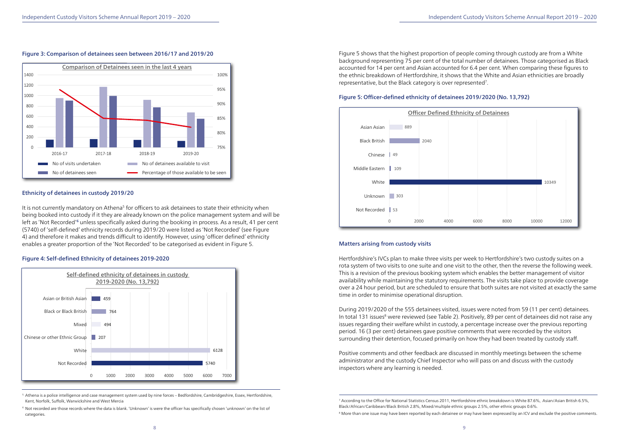Figure 5 shows that the highest proportion of people coming through custody are from a White background representing 75 per cent of the total number of detainees. Those categorised as Black accounted for 14 per cent and Asian accounted for 6.4 per cent. When comparing these figures to the ethnic breakdown of Hertfordshire, it shows that the White and Asian ethnicities are broadly representative, but the Black category is over represented7.

#### Figure 5: Officer-defined ethnicity of detainees 2019/2020 (No. 13,792)

# Matters arising from custody visits

Hertfordshire's IVCs plan to make three visits per week to Hertfordshire's two custody suites on a rota system of two visits to one suite and one visit to the other, then the reverse the following week. This is a revision of the previous booking system which enables the better management of visitor availability while maintaining the statutory requirements. The visits take place to provide coverage over a 24 hour period, but are scheduled to ensure that both suites are not visited at exactly the same time in order to minimise operational disruption.

It is not currently mandatory on Athena<sup>5</sup> for officers to ask detainees to state their ethnicity when being booked into custody if it they are already known on the police management system and will be left as 'Not Recorded'<sup>6</sup> unless specifically asked during the booking in process. As a result, 41 per cent (5740) of 'self-defined' ethnicity records during 2019/20 were listed as 'Not Recorded' (see Figure 4) and therefore it makes and trends difficult to identify. However, using 'officer defined' ethnicity enables a greater proportion of the 'Not Recorded' to be categorised as evident in Figure 5.

<sup>5</sup> Athena is a police intelligence and case management system used by nine forces – Bedfordshire, Cambridgeshire, Essex, Hertfordshire, Kent, Norfolk, Suffolk, Warwickshire and West Mercia

During 2019/2020 of the 555 detainees visited, issues were noted from 59 (11 per cent) detainees. In total 131 issues<sup>8</sup> were reviewed (see Table 2). Positively, 89 per cent of detainees did not raise any issues regarding their welfare whilst in custody, a percentage increase over the previous reporting period. 16 (3 per cent) detainees gave positive comments that were recorded by the visitors surrounding their detention, focused primarily on how they had been treated by custody staff.

Positive comments and other feedback are discussed in monthly meetings between the scheme administrator and the custody Chief Inspector who will pass on and discuss with the custody inspectors where any learning is needed.

# Figure 3: Comparison of detainees seen between 2016/17 and 2019/20

#### Ethnicity of detainees in custody 2019/20

# Figure 4: Self-defined Ethnicity of detainees 2019-2020

<sup>6</sup> Not recorded are those records where the data is blank. 'Unknown' is were the officer has specifically chosen 'unknown' on the list of categories.







<sup>7</sup> According to the Office for National Statistics Census 2011, Hertfordshire ethnic breakdown is White 87.6%, Asian/Asian British 6.5%, Black/African/Caribbean/Black British 2.8%, Mixed/multiple ethnic groups 2.5%, other ethnic groups 0.6%. <sup>8</sup> More than one issue may have been reported by each detainee or may have been expressed by an ICV and exclude the positive comments.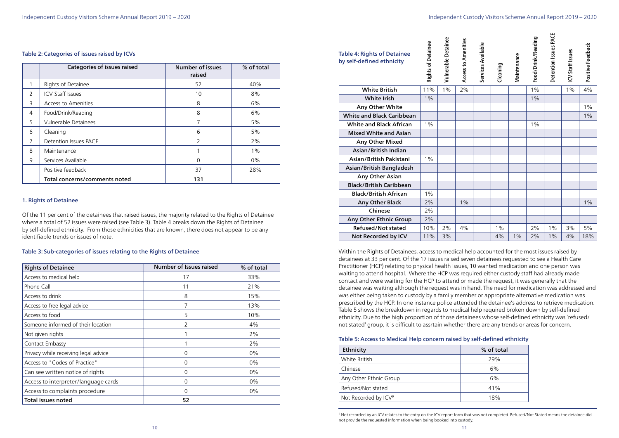#### Table 2: Categories of issues raised by ICVs

#### 1. Rights of Detainee

Of the 11 per cent of the detainees that raised issues, the majority related to the Rights of Detainee where a total of 52 issues were raised (see Table 3). Table 4 breaks down the Rights of Detainee by self-defined ethnicity. From those ethnicities that are known, there does not appear to be any identifiable trends or issues of note.

#### Table 3: Sub-categories of issues relating to the Rights of Detainee

Within the Rights of Detainees, access to medical help accounted for the most issues raised by detainees at 33 per cent. Of the 17 issues raised seven detainees requested to see a Health Care Practitioner (HCP) relating to physical health issues, 10 wanted medication and one person was waiting to attend hospital. Where the HCP was required either custody staff had already made contact and were waiting for the HCP to attend or made the request, it was generally that the detainee was waiting although the request was in hand. The need for medication was addressed and was either being taken to custody by a family member or appropriate alternative medication was prescribed by the HCP. In one instance police attended the detainee's address to retrieve medication. Table 5 shows the breakdown in regards to medical help required broken down by self-defined ethnicity. Due to the high proportion of those detainees whose self-defined ethnicity was 'refused/ not stated' group, it is difficult to assrtain whether there are any trends or areas for concern.

# Table 5: Access to Medical Help concern raised by self-defined ethnicity

|                | <b>Categories of issues raised</b> | <b>Number of issues</b><br>raised | % of total |
|----------------|------------------------------------|-----------------------------------|------------|
|                | Rights of Detainee                 | 52                                | 40%        |
| $\overline{2}$ | <b>ICV Staff Issues</b>            | 10                                | 8%         |
| 3              | <b>Access to Amenities</b>         | 8                                 | 6%         |
| 4              | Food/Drink/Reading                 | 8                                 | 6%         |
| 5              | <b>Vulnerable Detainees</b>        | 7                                 | 5%         |
| 6              | Cleaning                           | 6                                 | 5%         |
| 7              | Detention Issues PACE              | 2                                 | 2%         |
| 8              | Maintenance                        |                                   | $1\%$      |
| 9              | Services Available                 | $\Omega$                          | $0\%$      |
|                | Positive feedback                  | 37                                | 28%        |
|                | Total concerns/comments noted      | 131                               |            |

| <b>Table 4: Rights of Detainee</b><br>by self-defined ethnicity | <b>Rights of Detainee</b> | Vulnerable Detainee | Access to Amenities | Services Available | Cleaning | Maintenance | Food/Drink/Reading | Detention Issues PACE | ICV Staff Issues | Positive Feedback |
|-----------------------------------------------------------------|---------------------------|---------------------|---------------------|--------------------|----------|-------------|--------------------|-----------------------|------------------|-------------------|
| <b>White British</b>                                            | 11%                       | 1%                  | 2%                  |                    |          |             | $1\%$              |                       | 1%               | 4%                |
| <b>White Irish</b>                                              | 1%                        |                     |                     |                    |          |             | $1\%$              |                       |                  |                   |
| Any Other White                                                 |                           |                     |                     |                    |          |             |                    |                       |                  | 1%                |
| <b>White and Black Caribbean</b>                                |                           |                     |                     |                    |          |             |                    |                       |                  | $1\%$             |
| <b>White and Black African</b>                                  | $1\%$                     |                     |                     |                    |          |             | $1\%$              |                       |                  |                   |
| <b>Mixed White and Asian</b>                                    |                           |                     |                     |                    |          |             |                    |                       |                  |                   |
| Any Other Mixed                                                 |                           |                     |                     |                    |          |             |                    |                       |                  |                   |
| Asian/British Indian                                            |                           |                     |                     |                    |          |             |                    |                       |                  |                   |
| Asian/British Pakistani                                         | 1%                        |                     |                     |                    |          |             |                    |                       |                  |                   |
| Asian/British Bangladesh                                        |                           |                     |                     |                    |          |             |                    |                       |                  |                   |
| Any Other Asian                                                 |                           |                     |                     |                    |          |             |                    |                       |                  |                   |
| <b>Black/British Caribbean</b>                                  |                           |                     |                     |                    |          |             |                    |                       |                  |                   |
| <b>Black/British African</b>                                    | $1\%$                     |                     |                     |                    |          |             |                    |                       |                  |                   |
| Any Other Black                                                 | 2%                        |                     | 1%                  |                    |          |             |                    |                       |                  | 1%                |
| Chinese                                                         | 2%                        |                     |                     |                    |          |             |                    |                       |                  |                   |
| Any Other Ethnic Group                                          | 2%                        |                     |                     |                    |          |             |                    |                       |                  |                   |
| <b>Refused/Not stated</b>                                       | 10%                       | 2%                  | 4%                  |                    | 1%       |             | 2%                 | 1%                    | 3%               | 5%                |
| Not Recorded by ICV                                             | 11%                       | 3%                  |                     |                    | 4%       | 1%          | 2%                 | 1%                    | 4%               | 18%               |

| <b>Rights of Detainee</b>            | <b>Number of Issues raised</b> | % of total |
|--------------------------------------|--------------------------------|------------|
| Access to medical help               | 17                             | 33%        |
| Phone Call                           | 11                             | 21%        |
| Access to drink                      | 8                              | 15%        |
| Access to free legal advice          | 7                              | 13%        |
| Access to food                       | 5                              | 10%        |
| Someone informed of their location   | $\overline{2}$                 | 4%         |
| Not given rights                     |                                | 2%         |
| Contact Embassy                      | 1                              | 2%         |
| Privacy while receiving legal advice | 0                              | $0\%$      |
| Access to "Codes of Practice"        | 0                              | $0\%$      |
| Can see written notice of rights     | 0                              | $0\%$      |
| Access to interpreter/language cards | $\Omega$                       | $0\%$      |
| Access to complaints procedure       | 0                              | $0\%$      |
| <b>Total issues noted</b>            | 52                             |            |

| ble 4: Rights of Detainee<br>self-defined ethnicity | ā<br><u>s</u><br>5<br>ights |
|-----------------------------------------------------|-----------------------------|
| <b>White British</b>                                | 11 <sup>9</sup>             |

| Ethnicity                        | % of total |
|----------------------------------|------------|
| White British                    | 29%        |
| Chinese                          | 6%         |
| Any Other Ethnic Group           | 6%         |
| Refused/Not stated               | 41%        |
| Not Recorded by ICV <sup>9</sup> | 18%        |

9 Not recorded by an ICV relates to the entry on the ICV report form that was not completed. Refused/Not Stated means the detainee did not provide the requested information when being booked into custody.

| ustody Visitors Scheme Annual Report 2019 - 2020 |  |  |  |
|--------------------------------------------------|--|--|--|
|                                                  |  |  |  |
|                                                  |  |  |  |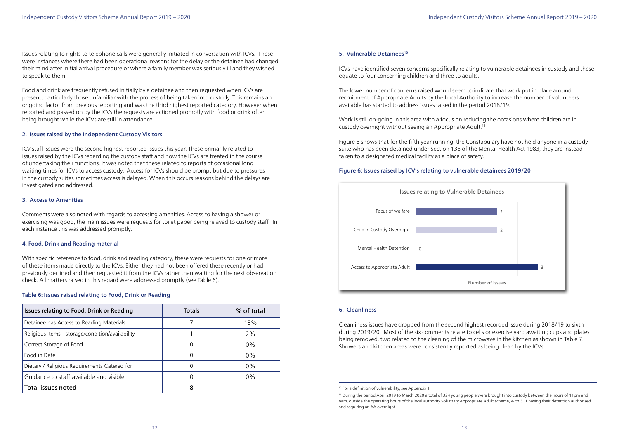Issues relating to rights to telephone calls were generally initiated in conversation with ICVs. These were instances where there had been operational reasons for the delay or the detainee had changed their mind after initial arrival procedure or where a family member was seriously ill and they wished to speak to them.

Food and drink are frequently refused initially by a detainee and then requested when ICVs are present, particularly those unfamiliar with the process of being taken into custody. This remains an ongoing factor from previous reporting and was the third highest reported category. However when reported and passed on by the ICVs the requests are actioned promptly with food or drink often being brought while the ICVs are still in attendance.

#### 2. Issues raised by the Independent Custody Visitors

ICV staff issues were the second highest reported issues this year. These primarily related to issues raised by the ICVs regarding the custody staff and how the ICVs are treated in the course of undertaking their functions. It was noted that these related to reports of occasional long waiting times for ICVs to access custody. Access for ICVs should be prompt but due to pressures in the custody suites sometimes access is delayed. When this occurs reasons behind the delays are investigated and addressed.

#### 3. Access to Amenities

Comments were also noted with regards to accessing amenities. Access to having a shower or exercising was good, the main issues were requests for toilet paper being relayed to custody staff. In each instance this was addressed promptly.

# 4. Food, Drink and Reading material

With specific reference to food, drink and reading category, these were requests for one or more of these items made directly to the ICVs. Either they had not been offered these recently or had previously declined and then requested it from the ICVs rather than waiting for the next observation check. All matters raised in this regard were addressed promptly (see Table 6).

#### Table 6: Issues raised relating to Food, Drink or Reading

ICVs have identified seven concerns specifically relating to vulnerable detainees in custody and these equate to four concerning children and three to adults.

The lower number of concerns raised would seem to indicate that work put in place around recruitment of Appropriate Adults by the Local Authority to increase the number of volunteers available has started to address issues raised in the period 2018/19.

Work is still on-going in this area with a focus on reducing the occasions where children are in custody overnight without seeing an Appropriate Adult.11

Figure 6 shows that for the fifth year running, the Constabulary have not held anyone in a custody suite who has been detained under Section 136 of the Mental Health Act 1983, they are instead taken to a designated medical facility as a place of safety.

# Figure 6: Issues raised by ICV's relating to vulnerable detainees 2019/20

#### 6. Cleanliness

Cleanliness issues have dropped from the second highest recorded issue during 2018/19 to sixth during 2019/20. Most of the six comments relate to cells or exercise yard awaiting cups and plates being removed, two related to the cleaning of the microwave in the kitchen as shown in Table 7. Showers and kitchen areas were consistently reported as being clean by the ICVs.

| Issues relating to Food, Drink or Reading        | <b>Totals</b> | % of total |
|--------------------------------------------------|---------------|------------|
| Detainee has Access to Reading Materials         |               | 13%        |
| Religious items - storage/condition/availability |               | 2%         |
| Correct Storage of Food                          | 0             | 0%         |
| Food in Date                                     | O             | 0%         |
| Dietary / Religious Requirements Catered for     | 0             | 0%         |
| Guidance to staff available and visible          |               | $0\%$      |
| <b>Total issues noted</b>                        | 8             |            |

#### 5. Vulnerable Detainees<sup>10</sup>



<sup>10</sup> For a definition of vulnerability, see Appendix 1.

<sup>11</sup> During the period April 2019 to March 2020 a total of 324 young people were brought into custody between the hours of 11pm and 8am, outside the operating hours of the local authority voluntary Appropriate Adult scheme, with 311 having their detention authorised and requiring an AA overnight.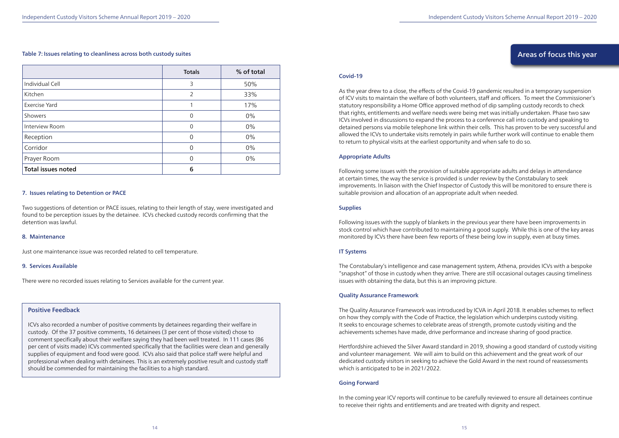#### Table 7: Issues relating to cleanliness across both custody suites

#### 7. Issues relating to Detention or PACE

Two suggestions of detention or PACE issues, relating to their length of stay, were investigated and found to be perception issues by the detainee. ICVs checked custody records confirming that the detention was lawful.

#### 8. Maintenance

Just one maintenance issue was recorded related to cell temperature.

#### 9. Services Available

There were no recorded issues relating to Services available for the current year.

### Positive Feedback

ICVs also recorded a number of positive comments by detainees regarding their welfare in custody. Of the 37 positive comments, 16 detainees (3 per cent of those visited) chose to comment specifically about their welfare saying they had been well treated. In 111 cases (86 per cent of visits made) ICVs commented specifically that the facilities were clean and generally supplies of equipment and food were good. ICVs also said that police staff were helpful and professional when dealing with detainees. This is an extremely positive result and custody staff should be commended for maintaining the facilities to a high standard.

|                           | <b>Totals</b> | % of total |
|---------------------------|---------------|------------|
| Individual Cell           | 3             | 50%        |
| Kitchen                   | 2             | 33%        |
| <b>Exercise Yard</b>      |               | 17%        |
| Showers                   | $\mathbf 0$   | $0\%$      |
| Interview Room            | $\mathbf 0$   | $0\%$      |
| Reception                 | 0             | $0\%$      |
| Corridor                  | 0             | $0\%$      |
| Prayer Room               | $\Omega$      | $0\%$      |
| <b>Total issues noted</b> | 6             |            |

#### Covid-19

As the year drew to a close, the effects of the Covid-19 pandemic resulted in a temporary suspension of ICV visits to maintain the welfare of both volunteers, staff and officers. To meet the Commissioner's statutory responsibility a Home Office approved method of dip sampling custody records to check that rights, entitlements and welfare needs were being met was initially undertaken. Phase two saw ICVs involved in discussions to expand the process to a conference call into custody and speaking to detained persons via mobile telephone link within their cells. This has proven to be very successful and allowed the ICVs to undertake visits remotely in pairs while further work will continue to enable them to return to physical visits at the earliest opportunity and when safe to do so.

#### Appropriate Adults

Following some issues with the provision of suitable appropriate adults and delays in attendance at certain times, the way the service is provided is under review by the Constabulary to seek improvements. In liaison with the Chief Inspector of Custody this will be monitored to ensure there is suitable provision and allocation of an appropriate adult when needed.

#### **Supplies**

Following issues with the supply of blankets in the previous year there have been improvements in stock control which have contributed to maintaining a good supply. While this is one of the key areas monitored by ICVs there have been few reports of these being low in supply, even at busy times.

#### IT Systems

The Constabulary's intelligence and case management system, Athena, provides ICVs with a bespoke "snapshot" of those in custody when they arrive. There are still occasional outages causing timeliness issues with obtaining the data, but this is an improving picture.

#### Quality Assurance Framework

The Quality Assurance Framework was introduced by ICVA in April 2018. It enables schemes to reflect on how they comply with the Code of Practice, the legislation which underpins custody visiting. It seeks to encourage schemes to celebrate areas of strength, promote custody visiting and the achievements schemes have made, drive performance and increase sharing of good practice.

Hertfordshire achieved the Silver Award standard in 2019, showing a good standard of custody visiting and volunteer management. We will aim to build on this achievement and the great work of our dedicated custody visitors in seeking to achieve the Gold Award in the next round of reassessments which is anticipated to be in 2021/2022.

#### Going Forward

In the coming year ICV reports will continue to be carefully reviewed to ensure all detainees continue to receive their rights and entitlements and are treated with dignity and respect.

# Areas of focus this year